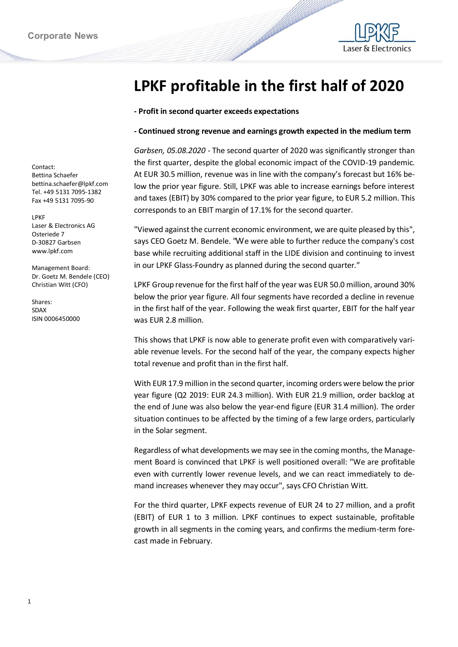

## **LPKF profitable in the first half of 2020**

## **- Profit in second quarter exceeds expectations**

## **- Continued strong revenue and earnings growth expected in the medium term**

*Garbsen, 05.08.2020 -* The second quarter of 2020 was significantly stronger than the first quarter, despite the global economic impact of the COVID-19 pandemic. At EUR 30.5 million, revenue was in line with the company's forecast but 16% below the prior year figure. Still, LPKF was able to increase earnings before interest and taxes (EBIT) by 30% compared to the prior year figure, to EUR 5.2 million. This corresponds to an EBIT margin of 17.1% for the second quarter.

"Viewed against the current economic environment, we are quite pleased by this", says CEO Goetz M. Bendele. "We were able to further reduce the company's cost base while recruiting additional staff in the LIDE division and continuing to invest in our LPKF Glass-Foundry as planned during the second quarter."

LPKF Group revenue for the first half of the year was EUR 50.0 million, around 30% below the prior year figure. All four segments have recorded a decline in revenue in the first half of the year. Following the weak first quarter, EBIT for the half year was EUR 2.8 million.

This shows that LPKF is now able to generate profit even with comparatively variable revenue levels. For the second half of the year, the company expects higher total revenue and profit than in the first half.

With EUR 17.9 million in the second quarter, incoming orders were below the prior year figure (Q2 2019: EUR 24.3 million). With EUR 21.9 million, order backlog at the end of June was also below the year-end figure (EUR 31.4 million). The order situation continues to be affected by the timing of a few large orders, particularly in the Solar segment.

Regardless of what developments we may see in the coming months, the Management Board is convinced that LPKF is well positioned overall: "We are profitable even with currently lower revenue levels, and we can react immediately to demand increases whenever they may occur", says CFO Christian Witt.

For the third quarter, LPKF expects revenue of EUR 24 to 27 million, and a profit (EBIT) of EUR 1 to 3 million. LPKF continues to expect sustainable, profitable growth in all segments in the coming years, and confirms the medium-term forecast made in February.

Contact: Bettina Schaefer bettina.schaefer@lpkf.com Tel. +49 5131 7095-1382 Fax +49 5131 7095-90

LPKF Laser & Electronics AG Osteriede 7 D-30827 Garbsen www.lpkf.com

Management Board: Dr. Goetz M. Bendele (CEO) Christian Witt (CFO)

Shares: SDAX ISIN 0006450000